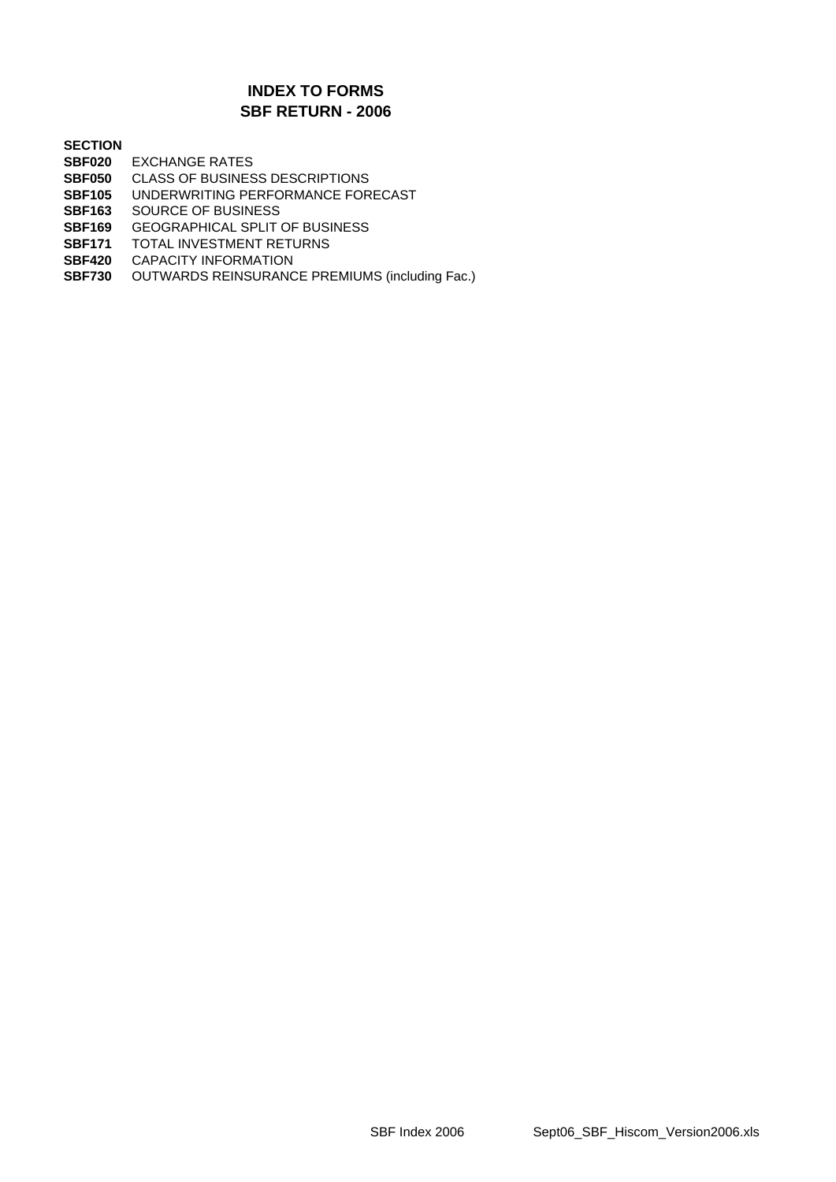### **SBF RETURN - 2006 INDEX TO FORMS**

#### **SECTION**

- **SBF020** EXCHANGE RATES
- **SBF050** CLASS OF BUSINESS DESCRIPTIONS
- **SBF105** UNDERWRITING PERFORMANCE FORECAST
- **SBF163** SOURCE OF BUSINESS
- **SBF169** GEOGRAPHICAL SPLIT OF BUSINESS
- **SBF171 TOTAL INVESTMENT RETURNS<br><b>SBF420** CAPACITY INFORMATION
- **CAPACITY INFORMATION**
- **SBF730** OUTWARDS REINSURANCE PREMIUMS (including Fac.)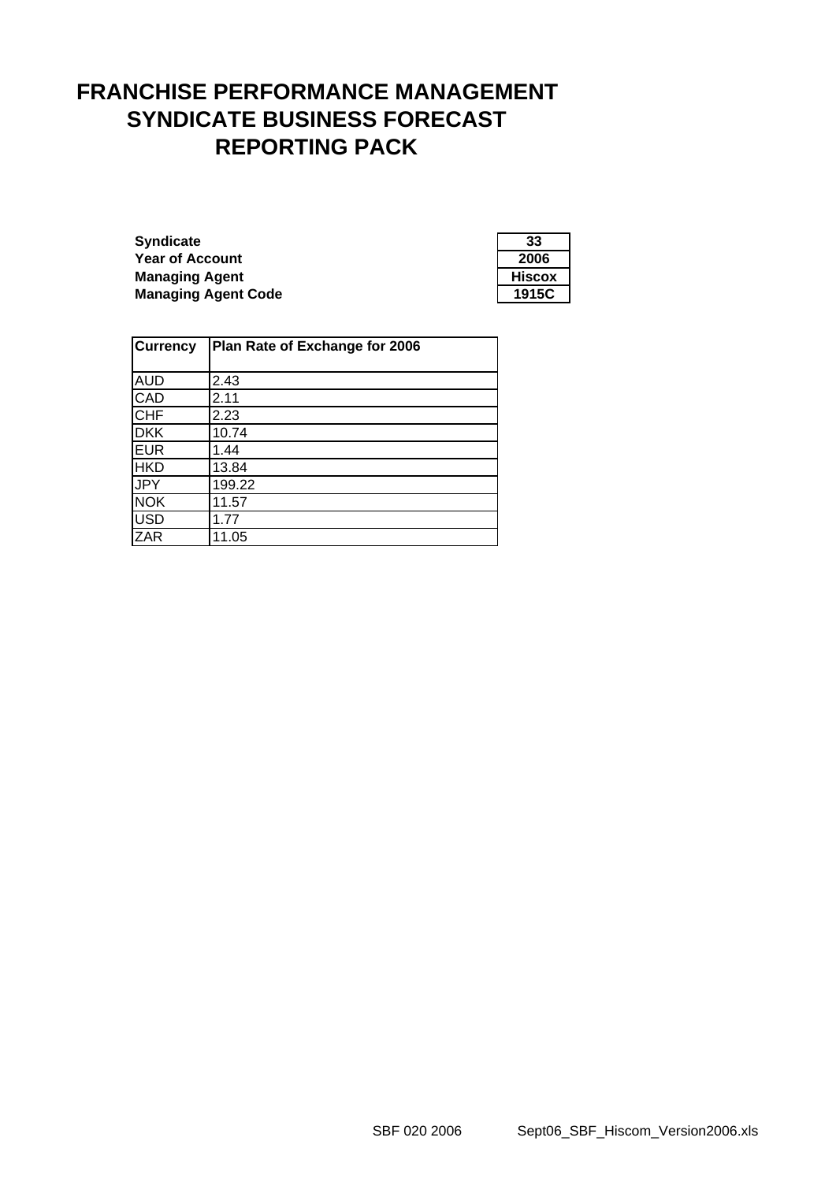# **FRANCHISE PERFORMANCE MANAGEMENT SYNDICATE BUSINESS FORECAST REPORTING PACK**

**Syndicate Year of Account Managing Agent Managing Agent Code** 

| 33     |
|--------|
| 2006   |
| Hiscox |
| 915C   |

| <b>Currency</b> | Plan Rate of Exchange for 2006 |  |
|-----------------|--------------------------------|--|
|                 |                                |  |
| <b>AUD</b>      | 2.43                           |  |
| CAD             | 2.11                           |  |
| CHF             | 2.23                           |  |
| <b>DKK</b>      | 10.74                          |  |
| <b>EUR</b>      | 1.44                           |  |
| <b>HKD</b>      | 13.84                          |  |
| <b>JPY</b>      | 199.22                         |  |
| <b>NOK</b>      | 11.57                          |  |
| <b>USD</b>      | 1.77                           |  |
| ZAR             | 11.05                          |  |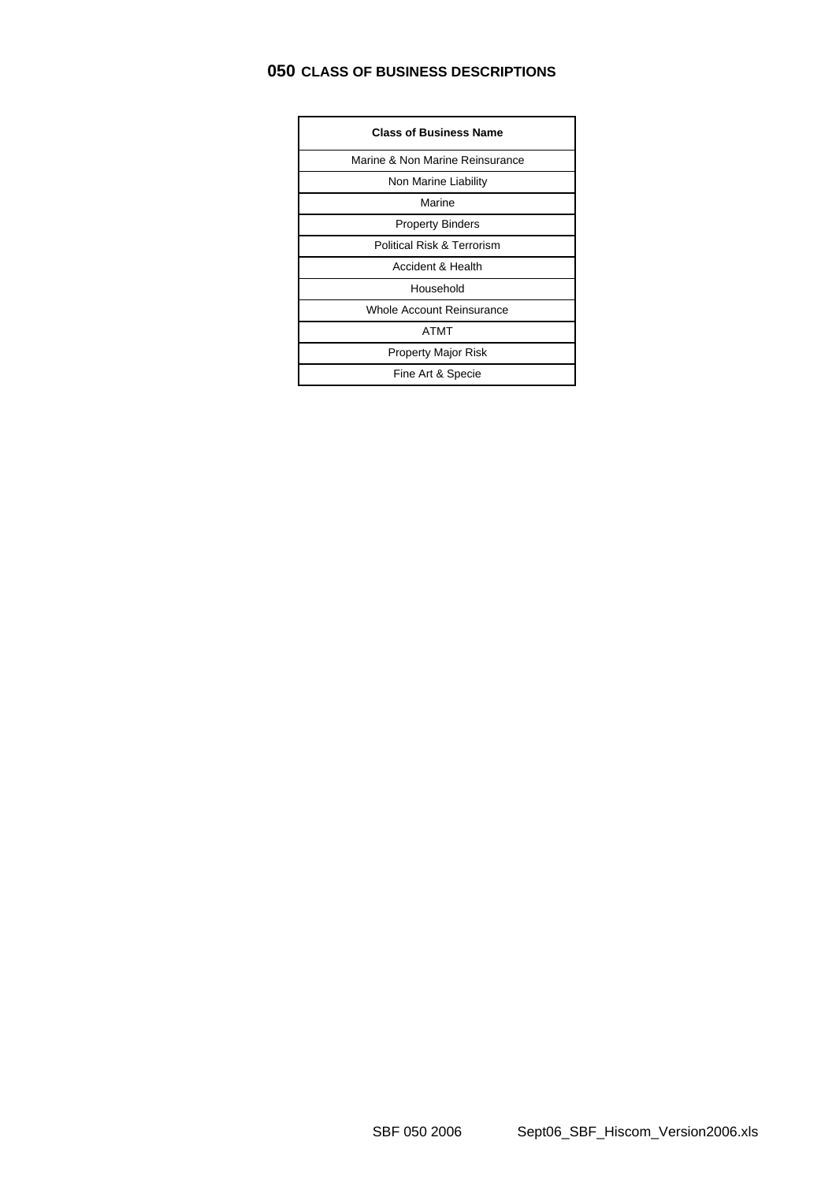# **050 CLASS OF BUSINESS DESCRIPTIONS**

| <b>Class of Business Name</b>         |
|---------------------------------------|
| Marine & Non Marine Reinsurance       |
| Non Marine Liability                  |
| Marine                                |
| <b>Property Binders</b>               |
| <b>Political Risk &amp; Terrorism</b> |
| Accident & Health                     |
| Household                             |
| Whole Account Reinsurance             |
| ATMT                                  |
| Property Major Risk                   |
| Fine Art & Specie                     |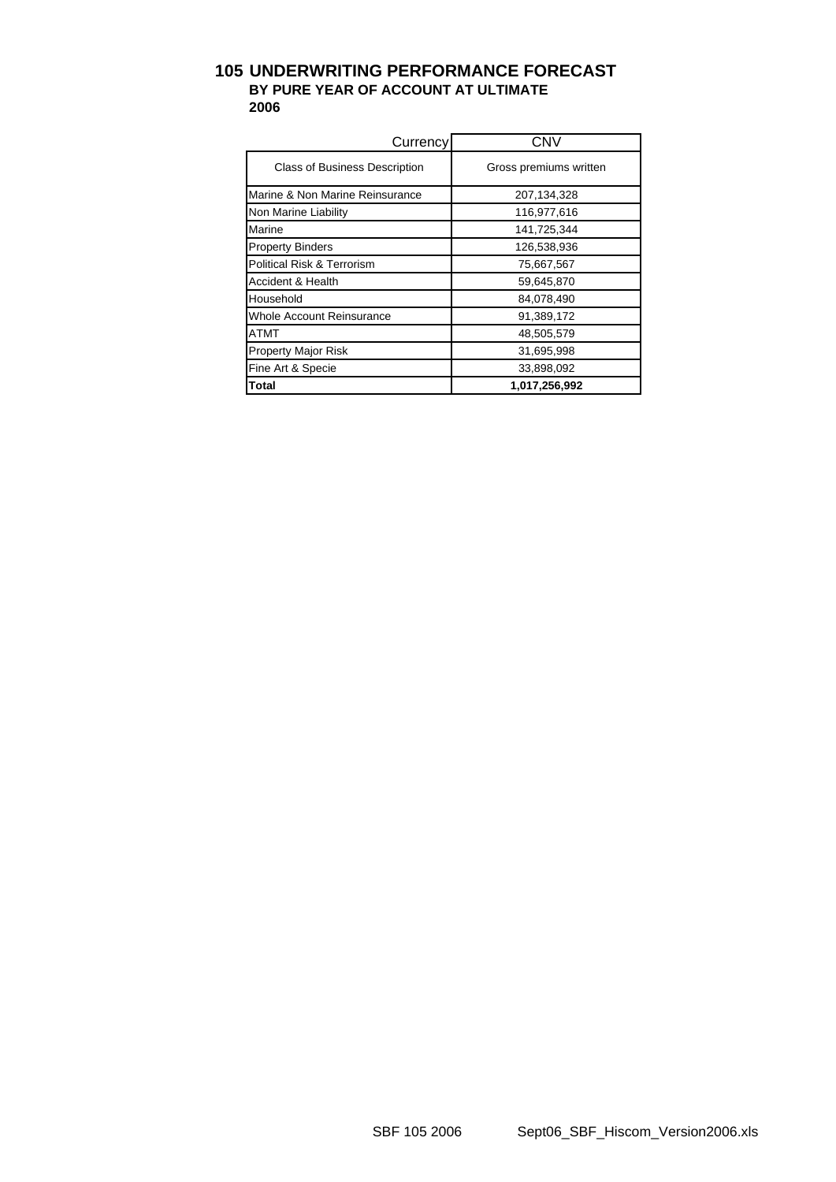### **105 UNDERWRITING PERFORMANCE FORECAST BY PURE YEAR OF ACCOUNT AT ULTIMATE 2006**

| Currency                             | <b>CNV</b>             |
|--------------------------------------|------------------------|
| <b>Class of Business Description</b> | Gross premiums written |
| Marine & Non Marine Reinsurance      | 207, 134, 328          |
| Non Marine Liability                 | 116,977,616            |
| Marine                               | 141,725,344            |
| <b>Property Binders</b>              | 126,538,936            |
| Political Risk & Terrorism           | 75,667,567             |
| Accident & Health                    | 59,645,870             |
| Household                            | 84,078,490             |
| Whole Account Reinsurance            | 91,389,172             |
| ATMT                                 | 48,505,579             |
| <b>Property Major Risk</b>           | 31,695,998             |
| Fine Art & Specie                    | 33,898,092             |
| Total                                | 1,017,256,992          |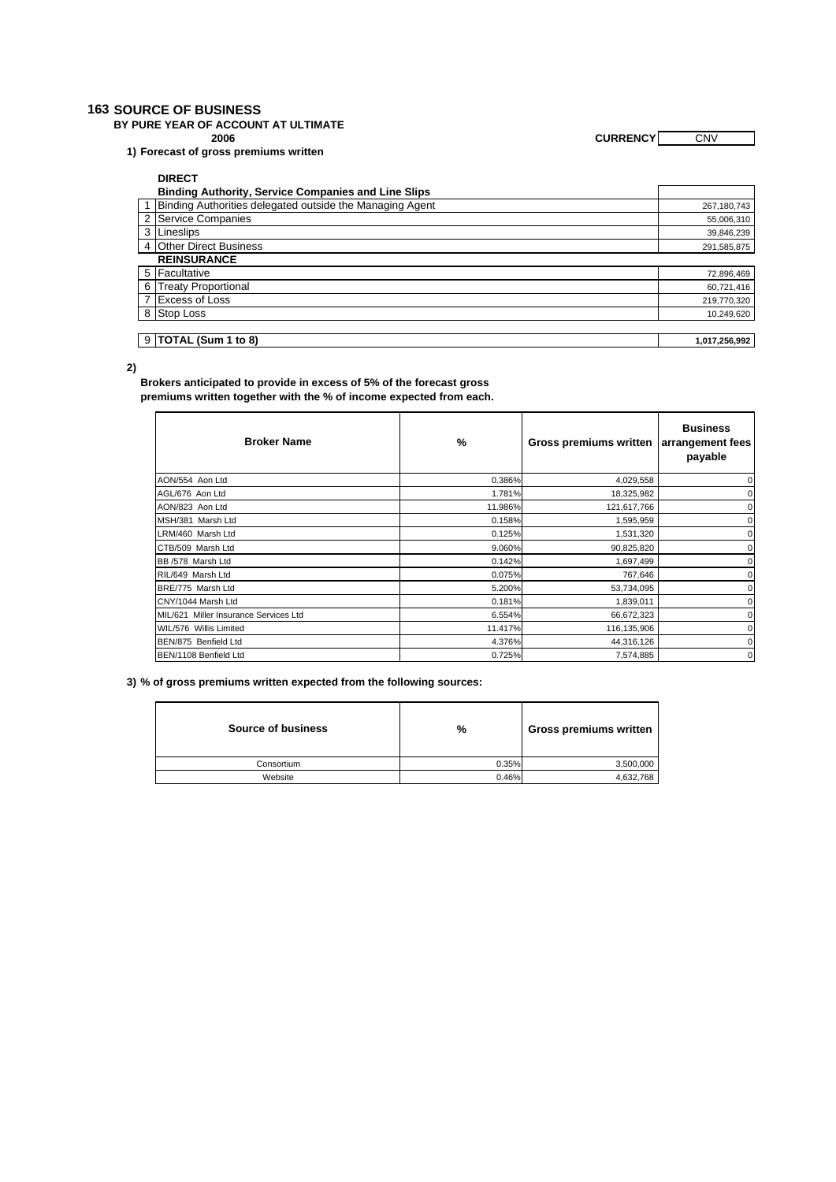#### **163 SOURCE OF BUSINESS**

**BY PURE YEAR OF ACCOUNT AT ULTIMATE**

**1) Forecast of gross premiums written** 

**2006 CURRENCY** CNV

| <b>DIDECT</b> |  |
|---------------|--|

| <b>DIRECT</b>                                              |               |
|------------------------------------------------------------|---------------|
| <b>Binding Authority, Service Companies and Line Slips</b> |               |
| 1 Binding Authorities delegated outside the Managing Agent | 267,180,743   |
| 2 Service Companies                                        | 55,006,310    |
| 3 Lineslips                                                | 39,846,239    |
| 4 Other Direct Business                                    | 291,585,875   |
| <b>REINSURANCE</b>                                         |               |
| 5 Facultative                                              | 72,896,469    |
| 6 Treaty Proportional                                      | 60,721,416    |
| 7 Excess of Loss                                           | 219,770,320   |
| 8 Stop Loss                                                | 10,249,620    |
|                                                            |               |
| 9 TOTAL (Sum 1 to 8)                                       | 1,017,256,992 |

**2)**

**Brokers anticipated to provide in excess of 5% of the forecast gross premiums written together with the % of income expected from each.** 

| <b>Broker Name</b>                    | %       | Gross premiums written | <b>Business</b><br>arrangement fees<br>payable |
|---------------------------------------|---------|------------------------|------------------------------------------------|
| AON/554 Aon Ltd                       | 0.386%  | 4,029,558              | 0                                              |
| AGL/676 Aon Ltd                       | 1.781%  | 18,325,982             | 0                                              |
| AON/823 Aon Ltd                       | 11.986% | 121,617,766            | 0                                              |
| MSH/381 Marsh Ltd                     | 0.158%  | 1,595,959              | 0                                              |
| LRM/460 Marsh Ltd                     | 0.125%  | 1,531,320              | 0                                              |
| CTB/509 Marsh Ltd                     | 9.060%  | 90,825,820             | 0                                              |
| BB /578 Marsh Ltd                     | 0.142%  | 1,697,499              | 0                                              |
| RIL/649 Marsh Ltd                     | 0.075%  | 767,646                | 0                                              |
| BRE/775 Marsh Ltd                     | 5.200%  | 53,734,095             | 0                                              |
| CNY/1044 Marsh Ltd                    | 0.181%  | 1,839,011              | 0                                              |
| MIL/621 Miller Insurance Services Ltd | 6.554%  | 66,672,323             | 0                                              |
| WIL/576 Willis Limited                | 11.417% | 116,135,906            | 0                                              |
| BEN/875 Benfield Ltd                  | 4.376%  | 44,316,126             | $\mathbf 0$                                    |
| BEN/1108 Benfield Ltd                 | 0.725%  | 7,574,885              | $\mathbf 0$                                    |

**3) % of gross premiums written expected from the following sources:**

| %     | Gross premiums written |
|-------|------------------------|
| 0.35% | 3,500,000              |
| 0.46% | 4,632,768              |
|       |                        |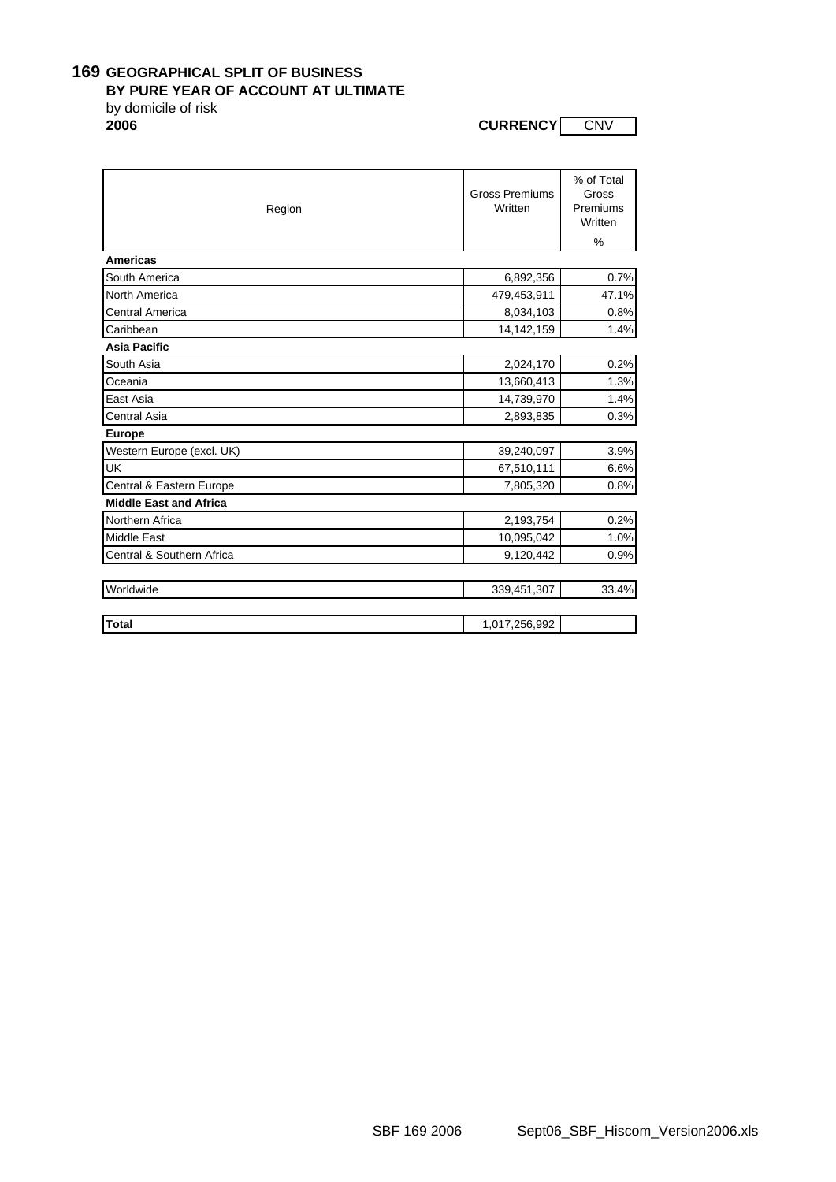### **169 GEOGRAPHICAL SPLIT OF BUSINESS**

#### **BY PURE YEAR OF ACCOUNT AT ULTIMATE**

by domicile of risk<br>2006

**2006 CURRENCY** CNV

| Region                        | <b>Gross Premiums</b><br>Written | % of Total<br>Gross<br>Premiums<br>Written |
|-------------------------------|----------------------------------|--------------------------------------------|
| <b>Americas</b>               |                                  | %                                          |
|                               |                                  |                                            |
| South America                 | 6,892,356                        | 0.7%                                       |
| North America                 | 479,453,911                      | 47.1%                                      |
| <b>Central America</b>        | 8,034,103                        | 0.8%                                       |
| Caribbean                     | 14, 142, 159                     | 1.4%                                       |
| <b>Asia Pacific</b>           |                                  |                                            |
| South Asia                    | 2,024,170                        | 0.2%                                       |
| Oceania                       | 13,660,413                       | 1.3%                                       |
| East Asia                     | 14,739,970                       | 1.4%                                       |
| <b>Central Asia</b>           | 2,893,835                        | 0.3%                                       |
| <b>Europe</b>                 |                                  |                                            |
| Western Europe (excl. UK)     | 39,240,097                       | 3.9%                                       |
| UK                            | 67,510,111                       | 6.6%                                       |
| Central & Eastern Europe      | 7,805,320                        | 0.8%                                       |
| <b>Middle East and Africa</b> |                                  |                                            |
| Northern Africa               | 2,193,754                        | 0.2%                                       |
| <b>Middle East</b>            | 10,095,042                       | 1.0%                                       |
| Central & Southern Africa     | 9,120,442                        | 0.9%                                       |
| Worldwide                     |                                  | 33.4%                                      |
|                               | 339,451,307                      |                                            |
| <b>Total</b>                  | 1,017,256,992                    |                                            |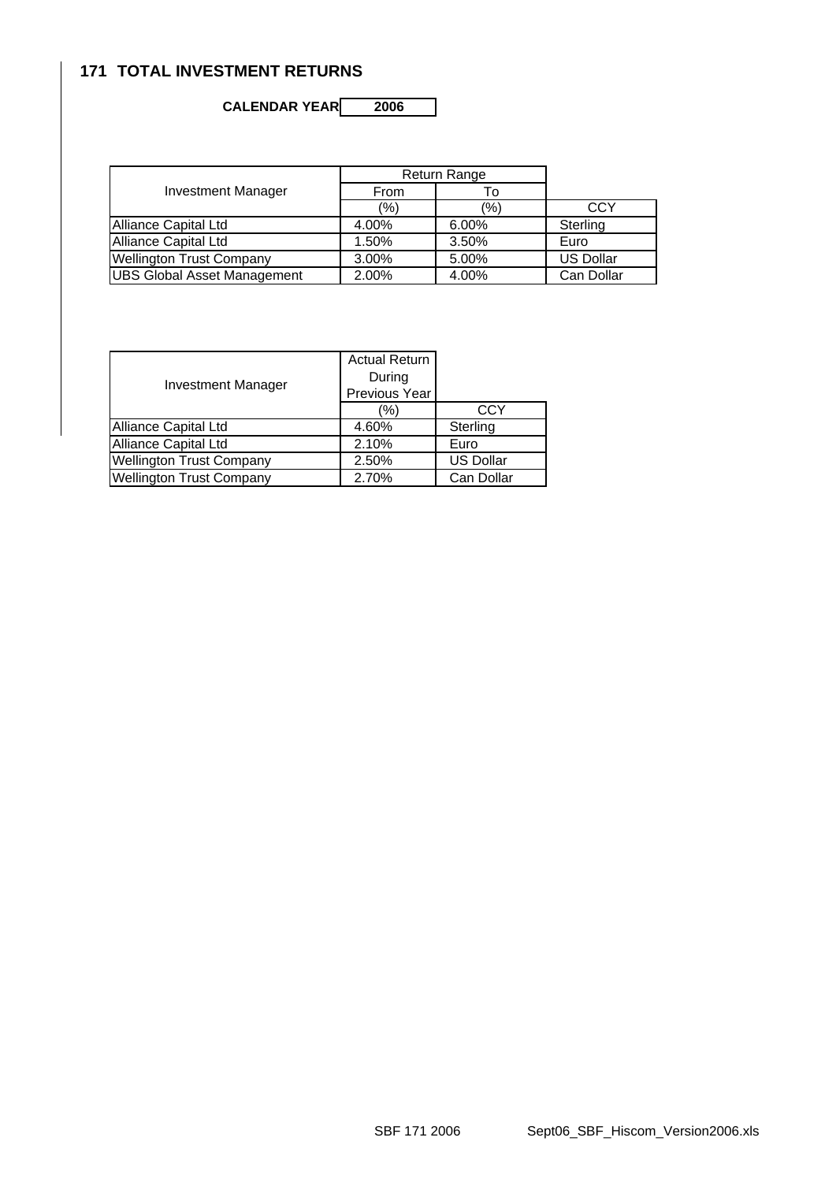# **171 TOTAL INVESTMENT RETURNS**

# **CALENDAR YEAR 2006**

|                                    | Return Range |         |                  |
|------------------------------------|--------------|---------|------------------|
| <b>Investment Manager</b>          | From         | ١o      |                  |
|                                    | (%)          | $(\% )$ | CCY              |
| Alliance Capital Ltd               | 4.00%        | 6.00%   | Sterling         |
| Alliance Capital Ltd               | 1.50%        | 3.50%   | Euro             |
| <b>Wellington Trust Company</b>    | 3.00%        | 5.00%   | <b>US Dollar</b> |
| <b>UBS Global Asset Management</b> | 2.00%        | 4.00%   | Can Dollar       |

|                                 | <b>Actual Return</b> |                  |
|---------------------------------|----------------------|------------------|
| Investment Manager              | During               |                  |
|                                 | Previous Year        |                  |
|                                 | (%)                  | <b>CCY</b>       |
| Alliance Capital Ltd            | 4.60%                | Sterling         |
| Alliance Capital Ltd            | 2.10%                | Euro             |
| <b>Wellington Trust Company</b> | 2.50%                | <b>US Dollar</b> |
| <b>Wellington Trust Company</b> | 2.70%                | Can Dollar       |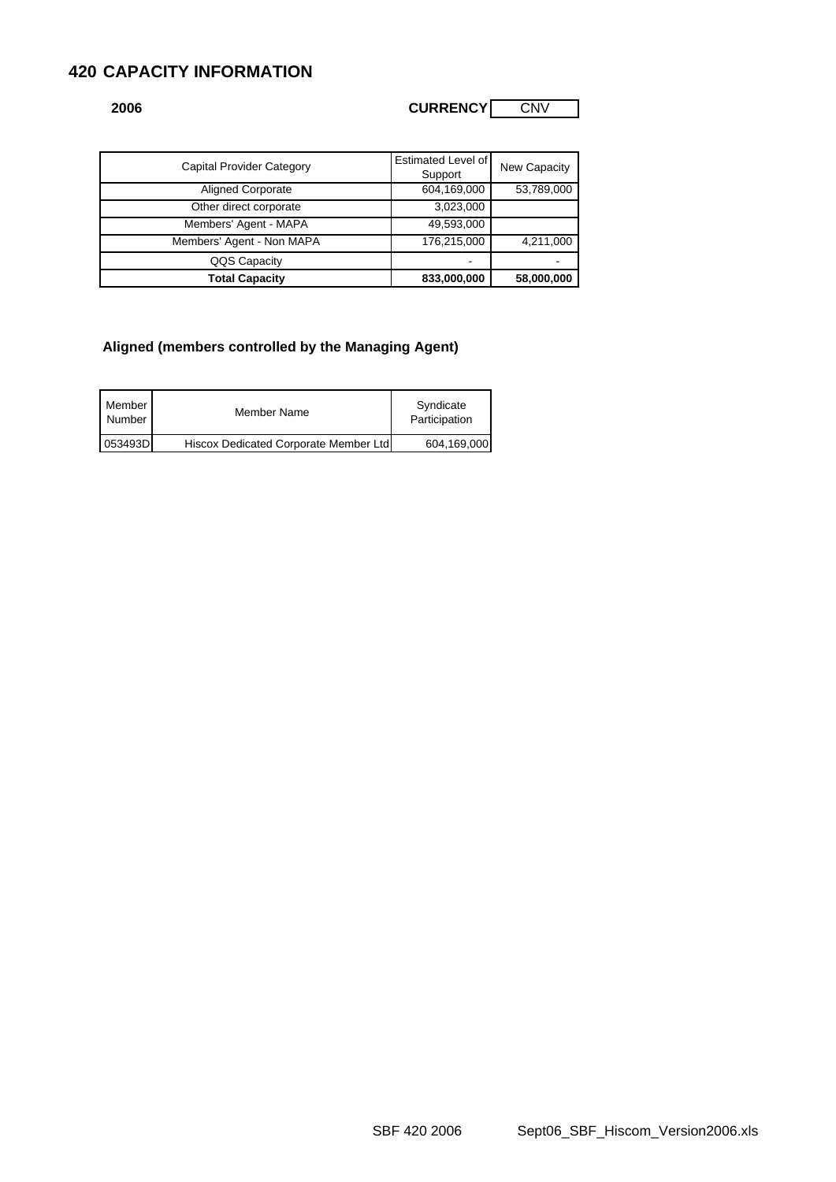## **420 CAPACITY INFORMATION**

| <b>CURRENCY</b><br><b>CNV</b><br>2006 |  |
|---------------------------------------|--|

| <b>Capital Provider Category</b> | Estimated Level of<br>Support | New Capacity |
|----------------------------------|-------------------------------|--------------|
| <b>Aligned Corporate</b>         | 604,169,000                   | 53,789,000   |
| Other direct corporate           | 3,023,000                     |              |
| Members' Agent - MAPA            | 49,593,000                    |              |
| Members' Agent - Non MAPA        | 176,215,000                   | 4,211,000    |
| QQS Capacity                     |                               |              |
| <b>Total Capacity</b>            | 833,000,000                   | 58,000,000   |

### **Aligned (members controlled by the Managing Agent)**

| Member<br>Number | Member Name                           | Syndicate<br>Participation |
|------------------|---------------------------------------|----------------------------|
| 053493D          | Hiscox Dedicated Corporate Member Ltd | 604,169,000                |

SBF 420 2006 Sept06\_SBF\_Hiscom\_Version2006.xls